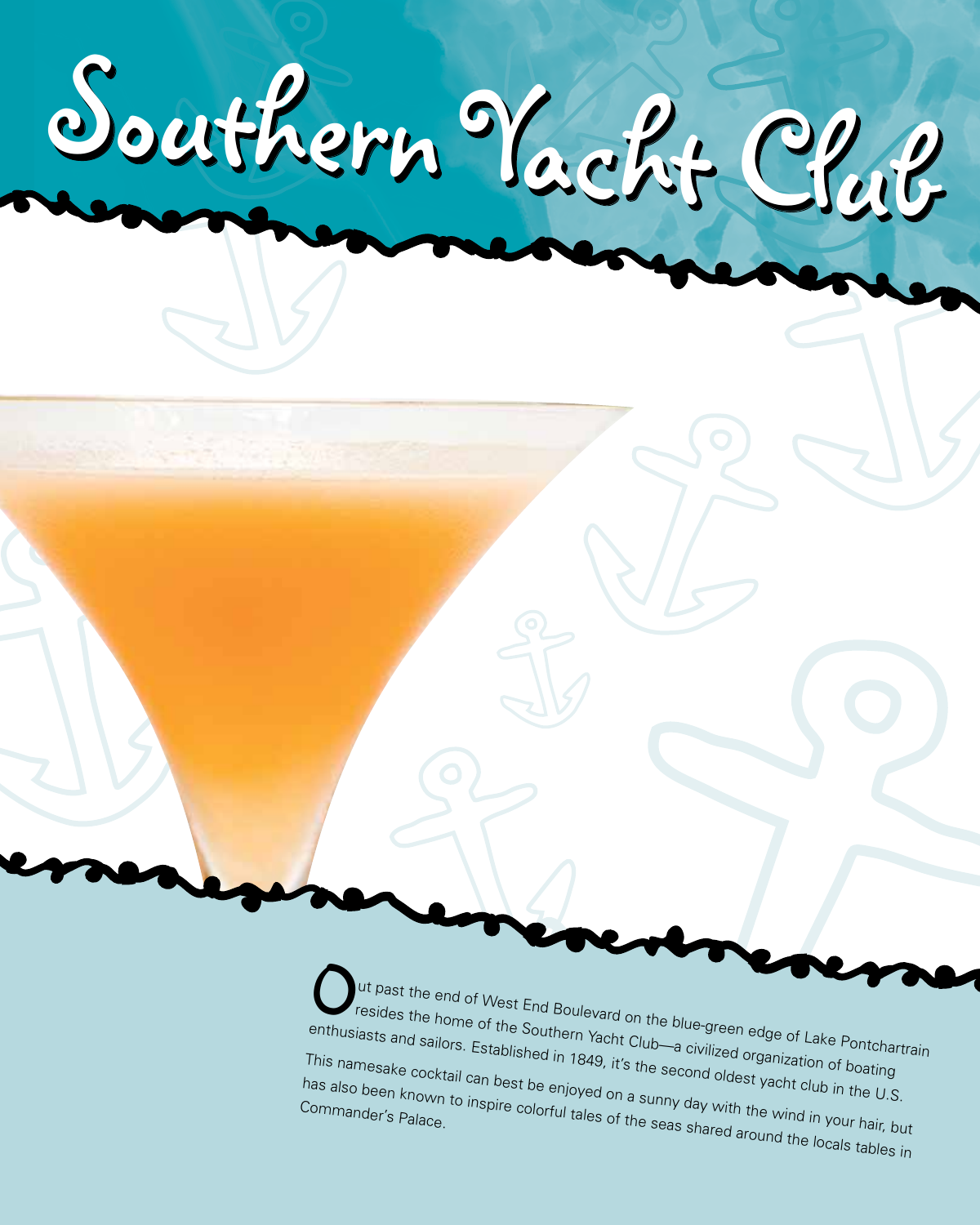

ut past the end of West End Boulevard on the blue-green edge of Lake Pontchartrain resides the home of the Southern Yacht Club—a civilized organization of boating enthusiasts and sailors. Established in 1849, it's the second oldest yacht club in the U.S. This namesake cocktail can best be enjoyed on a sunny day with the wind in the U.S.<br>has also been known to inspire colorful tales of the second oldest yacht club in the U.S.<br>Commander's Palace. has also been known to inspire colorful tales of the seas shared around the locals tables in